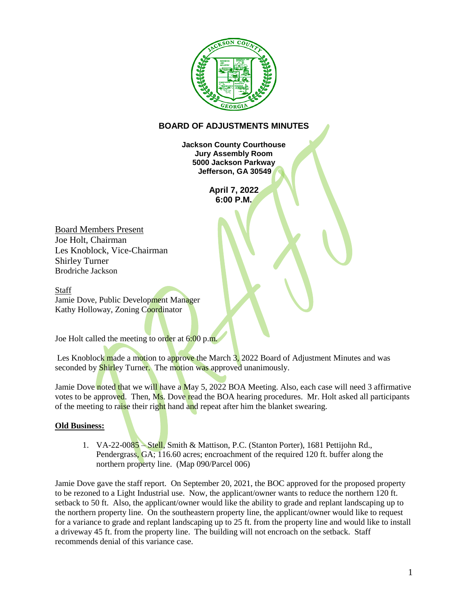

## **BOARD OF ADJUSTMENTS MINUTES**

**Jackson County Courthouse Jury Assembly Room 5000 Jackson Parkway Jefferson, GA 30549**

> **April 7, 2022 6:00 P.M.**

Board Members Present Joe Holt, Chairman Les Knoblock, Vice-Chairman Shirley Turner Brodriche Jackson

**Staff** Jamie Dove, Public Development Manager Kathy Holloway, Zoning Coordinator

Joe Holt called the meeting to order at 6:00 p.m.

Les Knoblock made a motion to approve the March 3, 2022 Board of Adjustment Minutes and was seconded by **Shirley Turner.** The motion was approved unanimously.

Jamie Dove noted that we will have a May 5, 2022 BOA Meeting. Also, each case will need 3 affirmative votes to be approved. Then, Ms. Dove read the BOA hearing procedures. Mr. Holt asked all participants of the meeting to raise their right hand and repeat after him the blanket swearing.

## **Old Business:**

1. VA-22-0085 – Stell, Smith & Mattison, P.C. (Stanton Porter), 1681 Pettijohn Rd., Pendergrass, GA; 116.60 acres; encroachment of the required 120 ft. buffer along the northern property line. (Map 090/Parcel 006)

Jamie Dove gave the staff report. On September 20, 2021, the BOC approved for the proposed property to be rezoned to a Light Industrial use. Now, the applicant/owner wants to reduce the northern 120 ft. setback to 50 ft. Also, the applicant/owner would like the ability to grade and replant landscaping up to the northern property line. On the southeastern property line, the applicant/owner would like to request for a variance to grade and replant landscaping up to 25 ft. from the property line and would like to install a driveway 45 ft. from the property line. The building will not encroach on the setback. Staff recommends denial of this variance case.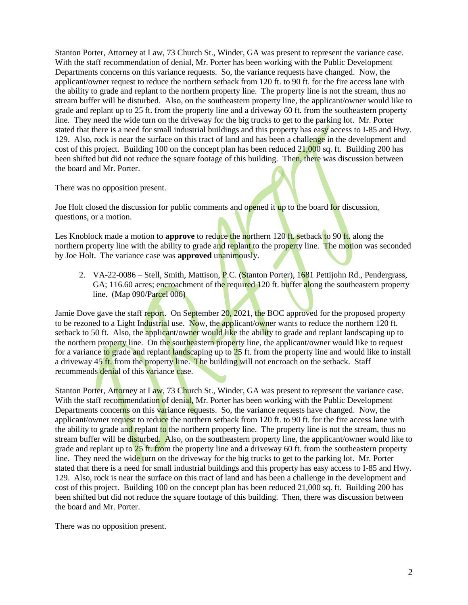Stanton Porter, Attorney at Law, 73 Church St., Winder, GA was present to represent the variance case. With the staff recommendation of denial, Mr. Porter has been working with the Public Development Departments concerns on this variance requests. So, the variance requests have changed. Now, the applicant/owner request to reduce the northern setback from 120 ft. to 90 ft. for the fire access lane with the ability to grade and replant to the northern property line. The property line is not the stream, thus no stream buffer will be disturbed. Also, on the southeastern property line, the applicant/owner would like to grade and replant up to 25 ft. from the property line and a driveway 60 ft. from the southeastern property line. They need the wide turn on the driveway for the big trucks to get to the parking lot. Mr. Porter stated that there is a need for small industrial buildings and this property has easy access to I-85 and Hwy. 129. Also, rock is near the surface on this tract of land and has been a challenge in the development and cost of this project. Building 100 on the concept plan has been reduced 21,000 sq. ft. Building 200 has been shifted but did not reduce the square footage of this building. Then, there was discussion between the board and Mr. Porter.

There was no opposition present.

Joe Holt closed the discussion for public comments and opened it up to the board for discussion, questions, or a motion.

Les Knoblock made a motion to **approve** to reduce the northern 120 ft, setback to 90 ft, along the northern property line with the ability to grade and replant to the property line. The motion was seconded by Joe Holt. The variance case was **approved** unanimously.

2. VA-22-0086 – Stell, Smith, Mattison, P.C. (Stanton Porter), 1681 Pettijohn Rd., Pendergrass, GA; 116.60 acres; encroachment of the required 120 ft. buffer along the southeastern property line. (Map 090/Parcel 006)

Jamie Dove gave the staff report. On September  $20, 2021$ , the BOC approved for the proposed property to be rezoned to a Light Industrial use. Now, the applicant/owner wants to reduce the northern 120 ft. setback to 50 ft. Also, the applicant/owner would like the ability to grade and replant landscaping up to the northern property line. On the southeastern property line, the applicant/owner would like to request for a variance to grade and replant landscaping up to 25 ft. from the property line and would like to install a driveway 45 ft. from the property line. The building will not encroach on the setback. Staff recommends denial of this variance case.

Stanton Porter, Attorney at Law, 73 Church St., Winder, GA was present to represent the variance case. With the staff recommendation of denial, Mr. Porter has been working with the Public Development Departments concerns on this variance requests. So, the variance requests have changed. Now, the applicant/owner request to reduce the northern setback from 120 ft. to 90 ft. for the fire access lane with the ability to grade and replant to the northern property line. The property line is not the stream, thus no stream buffer will be disturbed. Also, on the southeastern property line, the applicant/owner would like to grade and replant up to 25 ft. from the property line and a driveway 60 ft. from the southeastern property line. They need the wide turn on the driveway for the big trucks to get to the parking lot. Mr. Porter stated that there is a need for small industrial buildings and this property has easy access to I-85 and Hwy. 129. Also, rock is near the surface on this tract of land and has been a challenge in the development and cost of this project. Building 100 on the concept plan has been reduced 21,000 sq. ft. Building 200 has been shifted but did not reduce the square footage of this building. Then, there was discussion between the board and Mr. Porter.

There was no opposition present.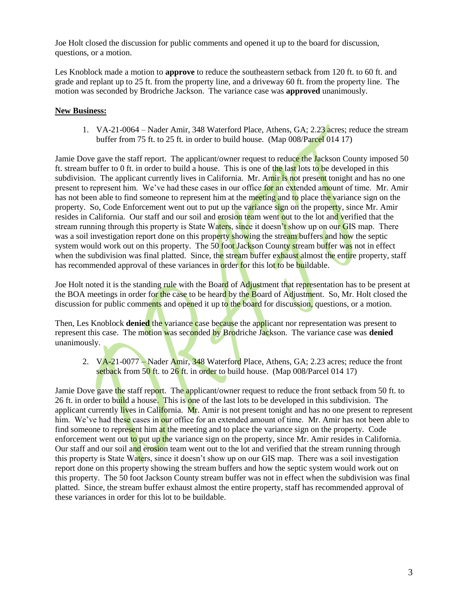Joe Holt closed the discussion for public comments and opened it up to the board for discussion, questions, or a motion.

Les Knoblock made a motion to **approve** to reduce the southeastern setback from 120 ft. to 60 ft. and grade and replant up to 25 ft. from the property line, and a driveway 60 ft. from the property line. The motion was seconded by Brodriche Jackson. The variance case was **approved** unanimously.

## **New Business:**

1. VA-21-0064 – Nader Amir, 348 Waterford Place, Athens, GA; 2.23 acres; reduce the stream buffer from 75 ft. to 25 ft. in order to build house. (Map 008/Parcel 014 17)

Jamie Dove gave the staff report. The applicant/owner request to reduce the Jackson County imposed 50 ft. stream buffer to 0 ft. in order to build a house. This is one of the last lots to be developed in this subdivision. The applicant currently lives in California. Mr. Amir is not present tonight and has no one present to represent him. We've had these cases in our office for an extended amount of time. Mr. Amir has not been able to find someone to represent him at the meeting and to place the variance sign on the property. So, Code Enforcement went out to put up the variance sign on the property, since Mr. Amir resides in California. Our staff and our soil and erosion team went out to the lot and verified that the stream running through this property is State Waters, since it doesn't show up on our GIS map. There was a soil investigation report done on this property showing the stream buffers and how the septic system would work out on this property. The 50 foot Jackson County stream buffer was not in effect when the subdivision was final platted. Since, the stream buffer exhaust almost the entire property, staff has recommended approval of these variances in order for this lot to be buildable.

Joe Holt noted it is the standing rule with the Board of Adjustment that representation has to be present at the BOA meetings in order for the case to be heard by the Board of Adjustment. So, Mr. Holt closed the discussion for public comments and opened it up to the board for discussion, questions, or a motion.

Then, Les Knoblock **denied** the variance case because the applicant nor representation was present to represent this case. The motion was seconded by Brodriche Jackson. The variance case was **denied** unanimously.

2. VA-21-0077 – Nader Amir, 348 Waterford Place, Athens, GA; 2.23 acres; reduce the front setback from  $50$  ft. to  $26$  ft. in order to build house. (Map 008/Parcel 014 17)

Jamie Dove gave the staff report. The applicant/owner request to reduce the front setback from 50 ft. to 26 ft. in order to build a house. This is one of the last lots to be developed in this subdivision. The applicant currently lives in California. Mr. Amir is not present tonight and has no one present to represent him. We've had these cases in our office for an extended amount of time. Mr. Amir has not been able to find someone to represent him at the meeting and to place the variance sign on the property. Code enforcement went out to put up the variance sign on the property, since Mr. Amir resides in California. Our staff and our soil and erosion team went out to the lot and verified that the stream running through this property is State Waters, since it doesn't show up on our GIS map. There was a soil investigation report done on this property showing the stream buffers and how the septic system would work out on this property. The 50 foot Jackson County stream buffer was not in effect when the subdivision was final platted. Since, the stream buffer exhaust almost the entire property, staff has recommended approval of these variances in order for this lot to be buildable.